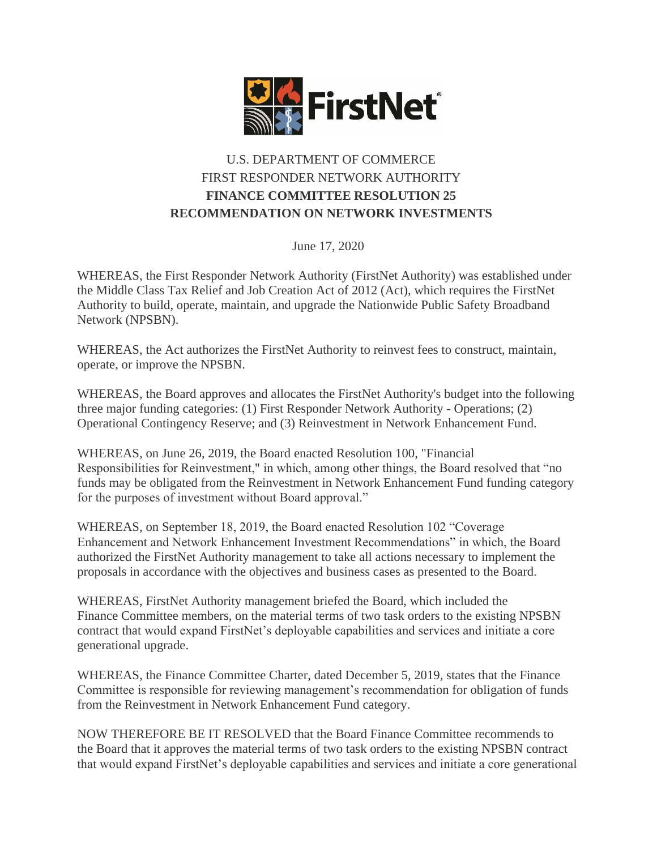

## U.S. DEPARTMENT OF COMMERCE FIRST RESPONDER NETWORK AUTHORITY **FINANCE COMMITTEE RESOLUTION 25 RECOMMENDATION ON NETWORK INVESTMENTS**

June 17, 2020

WHEREAS, the First Responder Network Authority (FirstNet Authority) was established under the Middle Class Tax Relief and Job Creation Act of 2012 (Act), which requires the FirstNet Authority to build, operate, maintain, and upgrade the Nationwide Public Safety Broadband Network (NPSBN).

WHEREAS, the Act authorizes the FirstNet Authority to reinvest fees to construct, maintain, operate, or improve the NPSBN.

WHEREAS, the Board approves and allocates the FirstNet Authority's budget into the following three major funding categories: (1) First Responder Network Authority - Operations; (2) Operational Contingency Reserve; and (3) Reinvestment in Network Enhancement Fund.

WHEREAS, on June 26, 2019, the Board enacted Resolution 100, "Financial Responsibilities for Reinvestment," in which, among other things, the Board resolved that "no funds may be obligated from the Reinvestment in Network Enhancement Fund funding category for the purposes of investment without Board approval."

WHEREAS, on September 18, 2019, the Board enacted Resolution 102 "Coverage Enhancement and Network Enhancement Investment Recommendations" in which, the Board authorized the FirstNet Authority management to take all actions necessary to implement the proposals in accordance with the objectives and business cases as presented to the Board.

WHEREAS, FirstNet Authority management briefed the Board, which included the Finance Committee members, on the material terms of two task orders to the existing NPSBN contract that would expand FirstNet's deployable capabilities and services and initiate a core generational upgrade.

WHEREAS, the Finance Committee Charter, dated December 5, 2019, states that the Finance Committee is responsible for reviewing management's recommendation for obligation of funds from the Reinvestment in Network Enhancement Fund category.

NOW THEREFORE BE IT RESOLVED that the Board Finance Committee recommends to the Board that it approves the material terms of two task orders to the existing NPSBN contract that would expand FirstNet's deployable capabilities and services and initiate a core generational